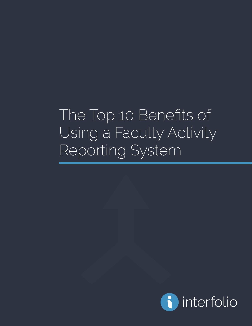The Top 10 Benefits of Using a Faculty Activity Reporting System

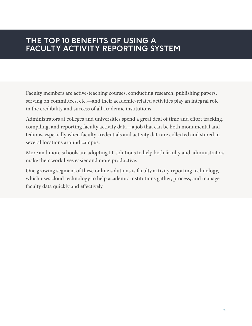## **THE TOP 10 BENEFITS OF USING A FACULTY ACTIVITY REPORTING SYSTEM**

Faculty members are active-teaching courses, conducting research, publishing papers, serving on committees, etc.—and their academic-related activities play an integral role in the credibility and success of all academic institutions.

Administrators at colleges and universities spend a great deal of time and effort tracking, compiling, and reporting faculty activity data—a job that can be both monumental and tedious, especially when faculty credentials and activity data are collected and stored in several locations around campus.

More and more schools are adopting IT solutions to help both faculty and administrators make their work lives easier and more productive.

One growing segment of these online solutions is faculty activity reporting technology, which uses cloud technology to help academic institutions gather, process, and manage faculty data quickly and effectively.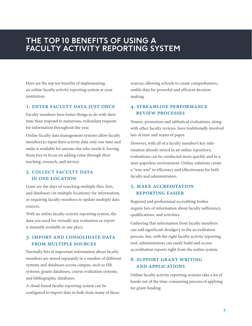### **THE TOP 10 BENEFITS OF USING A FACULTY ACTIVITY REPORTING SYSTEM**

Here are the top ten benefits of implementing an online faculty activity reporting system at your institution:

#### 1. ENTER FACULTY DATA JUST ONCE

Faculty members have better things to do with their time than respond to numerous, redundant requests for information throughout the year.

Online faculty data management systems allow faculty members to input their activity data only one time and make it available for anyone else who needs it, leaving them free to focus on adding value through their teaching, research, and service.

#### 2. COLLECT FACULTY DATA in one location

Gone are the days of searching multiple files, lists, and databases (in multiple locations) for information, or requiring faculty members to update multiple data sources.

With an online faculty activity reporting system, the data you need for virtually any evaluation or report is instantly available in one place.

#### 3. import and consolidate data from multiple sources

Normally bits of important information about faculty members are stored separately in a number of different systems and databases across campus, such as HR systems, grants databases, course evaluation systems, and bibliographic databases.

A cloud-based faculty reporting system can be configured to import data in bulk from many of those sources, allowing schools to create comprehensive, usable data for powerful and efficient decisionmaking.

#### 4. streamline performance review processes

Tenure, promotion and sabbatical evaluations, along with other faculty reviews, have traditionally involved lots of time and reams of paper.

However, with all of a faculty member's key information already stored in an online repository, evaluations can be conducted more quickly and in a near-paperless environment. Online solutions create a "win-win" in efficiency and effectiveness for both faculty and administrators.

#### 5. make accreditation reporting easier

Regional and professional accrediting bodies require lots of information about faculty sufficiency, qualifications, and activities.

Gathering that information from faculty members can add significant drudgery to the accreditation process, but, with the right faculty activity reporting tool, administrators can easily build and access accreditation reports right from the online system.

### 6. support grant writing and applications

Online faculty activity reporting systems take a lot of hassle out of the time-consuming process of applying for grant funding.